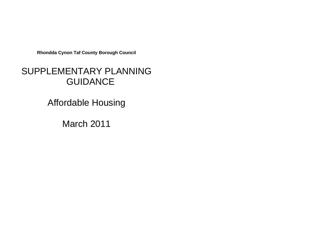**Rhondda Cynon Taf County Borough Council**

# SUPPLEMENTARY PLANNING **GUIDANCE**

Affordable Housing

March 2011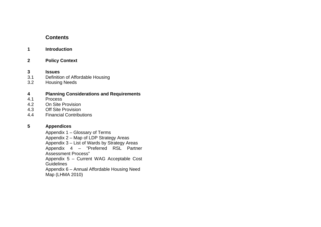# **Contents**

#### **1 Introduction**

**2 Policy Context**

# **3 Issues**

- 3.1 Definition of Affordable Housing<br>3.2 Housing Needs
- **Housing Needs**

# **4 Planning Considerations and Requirements**

- 4.1 Process<br>4.2 On Site F
- 4.2 On Site Provision<br>4.3 Off Site Provision
- **Off Site Provision**
- 4.4 Financial Contributions

#### **5 Appendices**

Appendix 1 – Glossary of Terms

Appendix 2 – Map of LDP Strategy Areas

Appendix 3 – List of Wards by Strategy Areas

Appendix 4 – "Preferred RSL Partner Assessment Process"

Appendix 5 – Current WAG Acceptable Cost Guidelines

Appendix 6 – Annual Affordable Housing Need Map (LHMA 2010)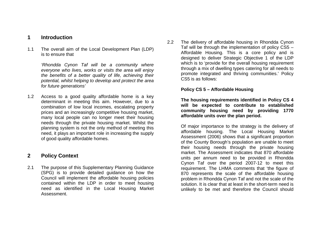### **1 Introduction**

1.1 The overall aim of the Local Development Plan (LDP) is to ensure that

> *'Rhondda Cynon Taf will be a community where everyone who lives, works or visits the area will enjoy the benefits of a better quality of life, achieving their potential, whilst helping to develop and protect the area for future generations'*

1.2 Access to a good quality affordable home is a key determinant in meeting this aim. However, due to a combination of low local incomes, escalating property prices and an increasingly competitive housing market, many local people can no longer meet their housing needs through the private housing market. Whilst the planning system is not the only method of meeting this need, it plays an important role in increasing the supply of good quality affordable homes.

# **2 Policy Context**

2.1 The purpose of this Supplementary Planning Guidance (SPG) is to provide detailed guidance on how the Council will implement the affordable housing policies contained within the LDP in order to meet housing need as identified in the Local Housing Market Assessment.

2.2 The delivery of affordable housing in Rhondda Cynon Taf will be through the implementation of policy CS5 – Affordable Housing. This is a core policy and is designed to deliver Strategic Objective 1 of the LDP which is to 'provide for the overall housing requirement through a mix of dwelling types catering for all needs to promote integrated and thriving communities.' Policy CS5 is as follows:

#### **Policy CS 5 – Affordable Housing**

**The housing requirements identified in Policy CS 4 will be expected to contribute to established community housing need by providing 1770 affordable units over the plan period.**

Of major importance to the strategy is the delivery of affordable housing. The Local Housing Market Assessment (2006) shows that a significant proportion of the County Borough's population are unable to meet their housing needs through the private housing market. The Assessment indicates that 870 affordable units per annum need to be provided in Rhondda Cynon Taf over the period 2007-12 to meet this requirement. The LHMA comments that 'the figure of 870 represents the scale of the affordable housing problem in Rhondda Cynon Taf and not the scale of the solution. It is clear that at least in the short-term need is unlikely to be met and therefore the Council should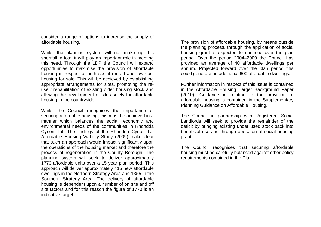consider a range of options to increase the supply of affordable housing.

Whilst the planning system will not make up this shortfall in total it will play an important role in meeting this need. Through the LDP the Council will expand opportunities to maximise the provision of affordable housing in respect of both social rented and low cost housing for sale. This will be achieved by establishing appropriate arrangements for sites, promoting the reuse / rehabilitation of existing older housing stock and allowing the development of sites solely for affordable housing in the countryside.

Whilst the Council recognises the importance of securing affordable housing, this must be achieved in a manner which balances the social, economic and environmental needs of the communities in Rhondda Cynon Taf. The findings of the Rhondda Cynon Taf Affordable Housing Viability Study (2009) make clear that such an approach would impact significantly upon the operations of the housing market and therefore the process of regeneration in the County Borough. The planning system will seek to deliver approximately 1770 affordable units over a 15 year plan period. This approach will deliver approximately 415 new affordable dwellings in the Northern Strategy Area and 1355 in the Southern Strategy Area. The delivery of affordable housing is dependent upon a number of on site and off site factors and for this reason the figure of 1770 is an indicative target.

The provision of affordable housing, by means outside the planning process, through the application of social housing grant is expected to continue over the plan period. Over the period 2004–2009 the Council has provided an average of 40 affordable dwellings per annum. Projected forward over the plan period this could generate an additional 600 affordable dwellings.

Further information in respect of this issue is contained in the Affordable Housing Target Background Paper (2010). Guidance in relation to the provision of affordable housing is contained in the Supplementary Planning Guidance on Affordable Housing.

The Council in partnership with Registered Social Landlords will seek to provide the remainder of the deficit by bringing existing under used stock back into beneficial use and through operation of social housing grant.

The Council recognises that securing affordable housing must be carefully balanced against other policy requirements contained in the Plan.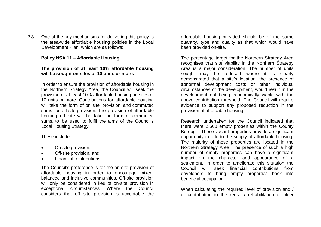2.3 One of the key mechanisms for delivering this policy is the area-wide affordable housing policies in the Local Development Plan, which are as follows:

#### **Policy NSA 11 – Affordable Housing**

#### **The provision of at least 10% affordable housing will be sought on sites of 10 units or more.**

In order to ensure the provision of affordable housing in the Northern Strategy Area, the Council will seek the provision of at least 10% affordable housing on sites of 10 units or more. Contributions for affordable housing will take the form of on site provision and commuted sums for off site provision. The provision of affordable housing off site will be take the form of commuted sums, to be used to fulfil the aims of the Council's Local Housing Strategy.

These include:

- On-site provision;
- Off-site provision, and
- Financial contributions

The Council's preference is for the on-site provision of affordable housing in order to encourage mixed, balanced and inclusive communities. Off-site provision will only be considered in lieu of on-site provision in exceptional circumstances. Where the Council considers that off site provision is acceptable the

affordable housing provided should be of the same quantity, type and quality as that which would have been provided on-site.

The percentage target for the Northern Strategy Area recognises that site viability in the Northern Strategy Area is a major consideration. The number of units sought may be reduced where it is clearly demonstrated that a site's location, the presence of abnormal development costs or other individual circumstances of the development, would result in the development not being economically viable with the above contribution threshold. The Council will require evidence to support any proposed reduction in the provision of affordable housing.

Research undertaken for the Council indicated that there were 2,500 empty properties within the County Borough. These vacant properties provide a significant opportunity to add to the supply of affordable housing. The majority of these properties are located in the Northern Strategy Area. The presence of such a high number of empty properties can have a significant impact on the character and appearance of a settlement. In order to ameliorate this situation the Council will seek financial contributions from developers to bring empty properties back into beneficial occupation.

When calculating the required level of provision and / or contribution to the reuse / rehabilitation of older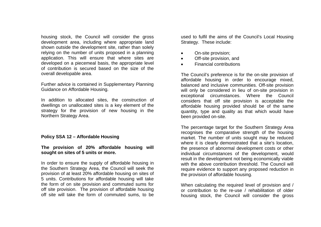housing stock, the Council will consider the gross development area, including where appropriate land shown outside the development site, rather than solely relying on the number of units proposed in a planning application. This will ensure that where sites are developed on a piecemeal basis, the appropriate level of contribution is secured based on the size of the overall developable area.

Further advice is contained in Supplementary Planning Guidance on Affordable Housing.

In addition to allocated sites, the construction of dwellings on unallocated sites is a key element of the strategy for the provision of new housing in the Northern Strategy Area.

#### **Policy SSA 12 – Affordable Housing**

#### **The provision of 20% affordable housing will sought on sites of 5 units or more.**

In order to ensure the supply of affordable housing in the Southern Strategy Area, the Council will seek the provision of at least 20% affordable housing on sites of 5 units. Contributions for affordable housing will take the form of on site provision and commuted sums for off site provision. The provision of affordable housing off site will take the form of commuted sums, to be

used to fulfil the aims of the Council's Local Housing Strategy. These include:

- On-site provision;
- Off-site provision, and
- Financial contributions

The Council's preference is for the on-site provision of affordable housing in order to encourage mixed, balanced and inclusive communities. Off-site provision will only be considered in lieu of on-site provision in exceptional circumstances. Where the Council considers that off site provision is acceptable the affordable housing provided should be of the same quantity, type and quality as that which would have been provided on-site.

The percentage target for the Southern Strategy Area recognises the comparative strength of the housing market. The number of units sought may be reduced where it is clearly demonstrated that a site's location, the presence of abnormal development costs or other individual circumstances of the development, would result in the development not being economically viable with the above contribution threshold. The Council will require evidence to support any proposed reduction in the provision of affordable housing.

When calculating the required level of provision and / or contribution to the re-use / rehabilitation of older housing stock, the Council will consider the gross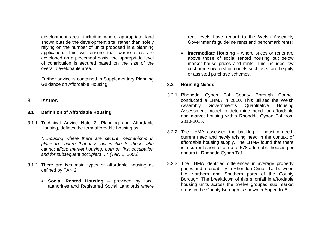development area, including where appropriate land shown outside the development site, rather than solely relying on the number of units proposed in a planning application. This will ensure that where sites are developed on a piecemeal basis, the appropriate level of contribution is secured based on the size of the overall developable area.

Further advice is contained in Supplementary Planning Guidance on Affordable Housing.

### **3 Issues**

#### **3.1 Definition of Affordable Housing**

3.1.1 Technical Advice Note 2: Planning and Affordable Housing, defines the term affordable housing as:

> *"…housing where there are secure mechanisms in place to ensure that it is accessible to those who cannot afford market housing, both on first occupation and for subsequent occupiers …" (TAN 2, 2006)*

- 3.1.2 There are two main types of affordable housing as defined by TAN 2:
	- **Social Rented Housing** provided by local authorities and Registered Social Landlords where

rent levels have regard to the Welsh Assembly Government's guideline rents and benchmark rents;

 **Intermediate Housing** – where prices or rents are above those of social rented housing but below market house prices and rents. This includes low cost home ownership models such as shared equity or assisted purchase schemes.

#### **3.2 Housing Needs**

- 3.2.1 Rhondda Cynon Taf County Borough Council conducted a LHMA in 2010. This utilised the Welsh Assembly Government's Quantitative Housing Assessment model to determine need for affordable and market housing within Rhondda Cynon Taf from 2010-2015.
- 3.2.2 The LHMA assessed the backlog of housing need, current need and newly arising need in the context of affordable housing supply. The LHMA found that there is a current shortfall of up to 578 affordable houses per annum in Rhondda Cynon Taf.
- 3.2.3 The LHMA identified differences in average property prices and affordability in Rhondda Cynon Taf between the Northern and Southern parts of the County Borough. The breakdown of this shortfall in affordable housing units across the twelve grouped sub market areas in the County Borough is shown in Appendix 6.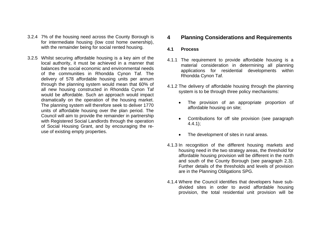- 3.2.4 7% of the housing need across the County Borough is for intermediate housing (low cost home ownership), with the remainder being for social rented housing.
- 3.2.5 Whilst securing affordable housing is a key aim of the local authority, it must be achieved in a manner that balances the social economic and environmental needs of the communities in Rhondda Cynon Taf. The delivery of 578 affordable housing units per annum through the planning system would mean that 60% of all new housing constructed in Rhondda Cynon Taf would be affordable. Such an approach would impact dramatically on the operation of the housing market. The planning system will therefore seek to deliver 1770 units of affordable housing over the plan period. The Council will aim to provide the remainder in partnership with Registered Social Landlords through the operation of Social Housing Grant, and by encouraging the reuse of existing empty properties.

### **4 Planning Considerations and Requirements**

#### **4.1 Process**

- 4.1.1 The requirement to provide affordable housing is a material consideration in determining all planning applications for residential developments within Rhondda Cynon Taf.
- 4.1.2 The delivery of affordable housing through the planning system is to be through three policy mechanisms:
	- The provision of an appropriate proportion of affordable housing on site;
	- Contributions for off site provision (see paragraph 4.4.1);
	- The development of sites in rural areas.
- 4.1.3 In recognition of the different housing markets and housing need in the two strategy areas, the threshold for affordable housing provision will be different in the north and south of the County Borough (see paragraph 2.3). Further details of the thresholds and levels of provision are in the Planning Obligations SPG.
- 4.1.4 Where the Council identifies that developers have subdivided sites in order to avoid affordable housing provision, the total residential unit provision will be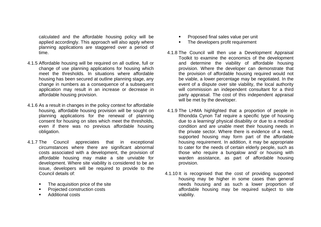calculated and the affordable housing policy will be applied accordingly. This approach will also apply where planning applications are staggered over a period of time.

- 4.1.5 Affordable housing will be required on all outline, full or change of use planning applications for housing which meet the thresholds. In situations where affordable housing has been secured at outline planning stage, any change in numbers as a consequence of a subsequent application may result in an increase or decrease in affordable housing provision.
- 4.1.6 As a result in changes in the policy context for affordable housing, affordable housing provision will be sought on planning applications for the renewal of planning consent for housing on sites which meet the thresholds, even if there was no previous affordable housing obligation.
- 4.1.7 The Council appreciates that in exceptional circumstances where there are significant abnormal costs associated with a development, the provision of affordable housing may make a site unviable for development. Where site viability is considered to be an issue, developers will be required to provide to the Council details of:
	- The acquisition price of the site
	- Projected construction costs
	- Additional costs
- Proposed final sales value per unit
- The developers profit requirement
- 4.1.8 The Council will then use a Development Appraisal Toolkit to examine the economics of the development and determine the viability of affordable housing provision. Where the developer can demonstrate that the provision of affordable housing required would not be viable, a lower percentage may be negotiated. In the event of a dispute over site viability, the local authority will commission an independent consultant for a third party appraisal. The cost of this independent appraisal will be met by the developer.
- 4.1.9 The LHMA highlighted that a proportion of people in Rhondda Cynon Taf require a specific type of housing due to a learning/ physical disability or due to a medical condition and are unable meet their housing needs in the private sector. Where there is evidence of a need, supported housing may form part of the affordable housing requirement. In addition, it may be appropriate to cater for the needs of certain elderly people, such as those who require a bungalow and/ or housing with warden assistance, as part of affordable housing provision.
- 4.1.10 It is recognised that the cost of providing supported housing may be higher in some cases than general needs housing and as such a lower proportion of affordable housing may be required subject to site viability.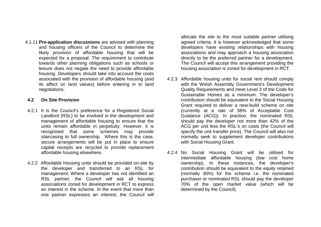4.1.11 **Pre-application discussions** are advised with planning and housing officers of the Council to determine the likely provision of affordable housing that will be expected for a proposal. The requirement to contribute towards other planning obligations such as schools or leisure does not negate the need to provide affordable housing. Developers should take into account the costs associated with the provision of affordable housing (and its affect on land values) before entering in to land negotiations.

#### **4.2 On Site Provision**

- 4.2.1 It is the Council's preference for a Registered Social Landlord (RSL) to be involved in the development and management of affordable housing to ensure that the units remain affordable in perpetuity. However, it is recognised that some schemes may provide staircasing to full ownership. Where this is the case, secure arrangements will be put in place to ensure capital receipts are recycled to provide replacement affordable housing elsewhere.
- 4.2.2 Affordable Housing units should be provided on-site by the developer and transferred to an RSL for management. Where a developer has not identified an RSL partner, the Council will ask all housing associations zoned for development in RCT to express an interest in the scheme. In the event that more than one partner expresses an interest, the Council will

allocate the site to the most suitable partner utilising agreed criteria. It is however acknowledged that some developers have existing relationships with housing associations and may approach a housing association directly to be the preferred partner for a development. The Council will accept this arrangement providing the housing association is zoned for development in RCT.

- 4.2.3 Affordable housing units for social rent should comply with the Welsh Assembly Government's Development Quality Requirements and meet Level 3 of the Code for Sustainable Homes as a minimum. The developer's contribution should be equivalent to the Social Housing Grant required to deliver a new-build scheme on site (currently at a rate of 58% of Acceptable Cost Guidance (ACG)). In practice, the nominated RSL should pay the developer not more than 42% of the ACG per unit less the RSL's on costs (the Council will specify the unit transfer price). The Council will also not normally seek to supplement developer contributions with Social Housing Grant.
- 4.2.4 No Social Housing Grant will be utilised for intermediate affordable housing (low cost home ownership). In these instances, the developer's contribution should be equivalent to the equity retained (normally 30%) for the scheme i.e. the nominated purchaser or nominated RSL should pay the developer 70% of the open market value (which will be determined by the Council).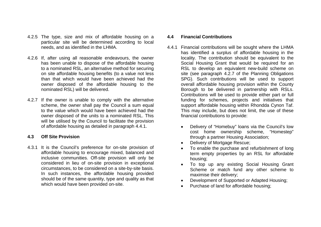- 4.2.5 The type, size and mix of affordable housing on a particular site will be determined according to local needs, and as identified in the LHMA.
- 4.2.6 If, after using all reasonable endeavours, the owner has been unable to dispose of the affordable housing to a nominated RSL, an alternative method for securing on site affordable housing benefits (to a value not less than that which would have been achieved had the owner disposed of the affordable housing to the nominated RSL) will be delivered.
- 4.2.7 If the owner is unable to comply with the alternative scheme, the owner shall pay the Council a sum equal to the value which would have been achieved had the owner disposed of the units to a nominated RSL. This will be utilised by the Council to facilitate the provision of affordable housing as detailed in paragraph 4.4.1.

#### **4.3 Off Site Provision**

4.3.1 It is the Council's preference for on-site provision of affordable housing to encourage mixed, balanced and inclusive communities. Off-site provision will only be considered in lieu of on-site provision in exceptional circumstances, to be considered on a site-by-site basis. In such instances, the affordable housing provided should be of the same quantity, type and quality as that which would have been provided on-site.

#### **4.4 Financial Contributions**

- 4.4.1 Financial contributions will be sought where the LHMA has identified a surplus of affordable housing in the locality. The contribution should be equivalent to the Social Housing Grant that would be required for an RSL to develop an equivalent new-build scheme on site (see paragraph 4.2.7 of the Planning Obligations SPG). Such contributions will be used to support overall affordable housing provision within the County Borough to be delivered in partnership with RSLs. Contributions will be used to provide either part or full funding for schemes, projects and initiatives that support affordable housing within Rhondda Cynon Taf. This may include, but does not limit, the use of these financial contributions to provide:
	- Delivery of "Homebuy" loans via the Council's low cost home ownership scheme, "Homestep" through a partner Housing Association;
	- Delivery of Mortgage Rescue;
	- To enable the purchase and refurbishment of long term empty properties by an RSL for affordable housing;
	- To top up any existing Social Housing Grant Scheme or match fund any other scheme to maximise their delivery;
	- Development of Supported or Adapted Housing;
	- Purchase of land for affordable housing: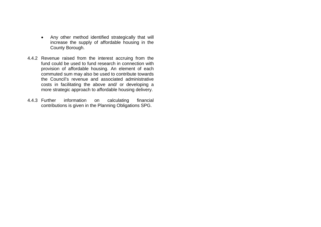- Any other method identified strategically that will increase the supply of affordable housing in the County Borough.
- 4.4.2 Revenue raised from the interest accruing from the fund could be used to fund research in connection with provision of affordable housing. An element of each commuted sum may also be used to contribute towards the Council's revenue and associated administrative costs in facilitating the above and/ or developing a more strategic approach to affordable housing delivery.
- 4.4.3 Further information on calculating financial contributions is given in the Planning Obligations SPG.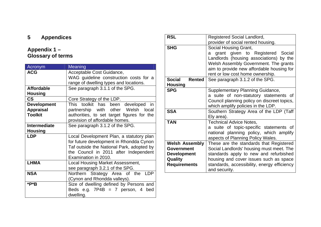# **5 Appendices**

# **Appendix 1 – Glossary of terms**

| Acronym                  | Meaning                                    |  |  |  |  |  |
|--------------------------|--------------------------------------------|--|--|--|--|--|
| <b>ACG</b>               | Acceptable Cost Guidance,                  |  |  |  |  |  |
|                          | WAG guideline construction costs for a     |  |  |  |  |  |
|                          | range of dwelling types and locations.     |  |  |  |  |  |
| <b>Affordable</b>        | See paragraph 3.1.1 of the SPG.            |  |  |  |  |  |
| <b>Housing</b>           |                                            |  |  |  |  |  |
| $\mathsf{CS}\phantom{0}$ | Core Strategy of the LDP.                  |  |  |  |  |  |
| <b>Development</b>       | toolkit has<br>This<br>been developed in   |  |  |  |  |  |
| <b>Appraisal</b>         | partnership with other Welsh local         |  |  |  |  |  |
| <b>Toolkit</b>           | authorities, to set target figures for the |  |  |  |  |  |
|                          | provision of affordable homes.             |  |  |  |  |  |
| <b>Intermediate</b>      | See paragraph 3.1.2 of the SPG.            |  |  |  |  |  |
| <b>Housing</b>           |                                            |  |  |  |  |  |
| <b>LDP</b>               | Local Development Plan, a statutory plan   |  |  |  |  |  |
|                          | for future development in Rhondda Cynon    |  |  |  |  |  |
|                          | Taf outside the National Park, adopted by  |  |  |  |  |  |
|                          | the Council in 2011 after Independent      |  |  |  |  |  |
|                          | Examination in 2010.                       |  |  |  |  |  |
| <b>LHMA</b>              | Local Housing Market Assessment,           |  |  |  |  |  |
|                          | see paragraph 3.2.1 of the SPG.            |  |  |  |  |  |
| <b>NSA</b>               | Northern Strategy Area of the LDP          |  |  |  |  |  |
|                          | (Cynon and Rhondda valleys).               |  |  |  |  |  |
| *P*B                     | Size of dwelling defined by Persons and    |  |  |  |  |  |
|                          | Beds e.g. $7P4B = 7$ person, 4<br>bed      |  |  |  |  |  |
|                          | dwelling.                                  |  |  |  |  |  |

| <b>RSL</b>                                       | Registered Social Landlord,<br>provider of social rented housing.                                                                                                                                                                   |  |  |  |  |  |
|--------------------------------------------------|-------------------------------------------------------------------------------------------------------------------------------------------------------------------------------------------------------------------------------------|--|--|--|--|--|
| <b>SHG</b>                                       | Social Housing Grant,<br>grant given to Registered Social<br>a<br>Landlords (housing associations) by the<br>Welsh Assembly Government. The grants<br>aim to provide new affordable housing for<br>rent or low cost home ownership. |  |  |  |  |  |
| <b>Social</b><br><b>Rented</b><br><b>Housing</b> | See paragraph 3.1.2 of the SPG.                                                                                                                                                                                                     |  |  |  |  |  |
| <b>SPG</b>                                       | Supplementary Planning Guidance,<br>a suite of non-statutory statements of<br>Council planning policy on discreet topics,<br>which amplify policies in the LDP.                                                                     |  |  |  |  |  |
| <b>SSA</b>                                       | Southern Strategy Area of the LDP (Taff<br>Ely area).                                                                                                                                                                               |  |  |  |  |  |
| TAN                                              | <b>Technical Advice Notes,</b><br>a suite of topic-specific statements of<br>national planning policy, which amplify<br>aspects of Planning Policy Wales.                                                                           |  |  |  |  |  |
| <b>Welsh Assembly</b>                            | These are the standards that Registered                                                                                                                                                                                             |  |  |  |  |  |
| <b>Government</b>                                | Social Landlords' housing must meet. The                                                                                                                                                                                            |  |  |  |  |  |
| <b>Development</b>                               | standards apply to new and refurbished                                                                                                                                                                                              |  |  |  |  |  |
| Quality                                          | housing and cover issues such as space                                                                                                                                                                                              |  |  |  |  |  |
| <b>Requirements</b>                              | standards, accessibility, energy efficiency<br>and security.                                                                                                                                                                        |  |  |  |  |  |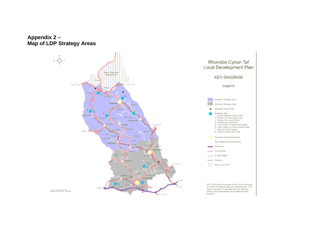**Appendix 2 – Map of LDP Strategy Areas**

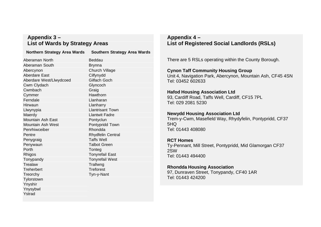### **Appendix 3 – List of Wards by Strategy Areas**

#### **Northern Strategy Area Wards Southern Strategy Area Wards**

Aberaman North **Beddau** Aberaman South Brynna Abercynon Church Village Aberdare East Cilfynydd Aberdare West/Llwydcoed Gilfach Goch Cwm Clydach Glyncoch Cwmbach Graig Cymmer Hawthorn Ferndale Llanharan Hirwaun Llanharry Llwynypia Llantrisant Town Maerdy **Mathematic Contract Contract Contract Contract Contract Contract Contract Contract Contract Contract Contract Contract Contract Contract Contract Contract Contract Contract Contract Contract Contract Contract Contr** Mountain Ash East **Pontyclun** Mountain Ash West **Pontypridd Town** Penrhiwceiber **Rhondda** Pentre Rhydfelin Central Penygraig **Taffs Well** Penywaun **Talbot Green** Porth Tonteg Rhigos Tonyrefail East Tonypandy Tonyrefail West Trealaw Trallwng Treherbert Treforest Treorchy Tyn-y-Nant **Tylorstown** Ynyshir Ynysybwl Ystrad

# **Appendix 4 – List of Registered Social Landlords (RSLs)**

There are 5 RSLs operating within the County Borough.

**Cynon Taff Community Housing Group** Unit 4, Navigation Park, Abercynon, Mountain Ash, CF45 4SN Tel: 03452 602633

#### **Hafod Housing Association Ltd**

93, Cardiff Road, Taffs Well, Cardiff, CF15 7PL Tel: 029 2081 5230

#### **Newydd Housing Association Ltd**

Trem-y-Cwm, Masefield Way, Rhydyfelin, Pontypridd, CF37 5HQ Tel: 01443 408080

#### **RCT Homes**

Ty-Pennant, Mill Street, Pontypridd, Mid Glamorgan CF37 2SW Tel: 01443 494400

#### **Rhondda Housing Association**

97, Dunraven Street, Tonypandy, CF40 1AR Tel: 01443 424200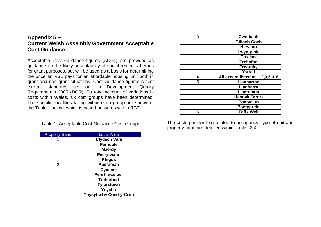# **Appendix 5 – Current Welsh Assembly Government Acceptable Cost Guidance**

Acceptable Cost Guidance figures (ACGs) are provided as guidance on the likely acceptability of social rented schemes for grant purposes, but will be used as a basis for determining the price an RSL pays for an affordable housing unit both in grant and non grant situations. Cost Guidance figures reflect current standards set out in Development Quality Requirements 2005 (DQR). To take account of variations in costs within Wales, six cost groups have been determined. The specific localities falling within each group are shown in the Table 1 below, which is based on wards within RCT.

| Table 1: Acceptable Cost Guidance Cost Groups |  |
|-----------------------------------------------|--|
|-----------------------------------------------|--|

| <b>Property Band</b> | <b>Local Area</b>                |
|----------------------|----------------------------------|
|                      | <b>Clydach Vale</b>              |
|                      | <b>Ferndale</b>                  |
|                      | <b>Maerdy</b>                    |
|                      | Pen-y-waun                       |
|                      | <b>Rhigos</b>                    |
| $\overline{2}$       | <b>Aberaman</b>                  |
|                      | <b>Cymmer</b>                    |
|                      | Penrhiwceiber                    |
|                      | <b>Treherbert</b>                |
|                      | <b>Tylorstown</b>                |
|                      | Ynyshir                          |
|                      | <b>Ynysybwl &amp; Coed-y-Cwm</b> |

| 3 | <b>Cwmbach</b>                   |
|---|----------------------------------|
|   | <b>Gilfach Goch</b>              |
|   | <b>Hirwaun</b>                   |
|   | Lwyn-y-pia                       |
|   | <b>Trealaw</b>                   |
|   | <b>Trehafod</b>                  |
|   | <b>Treorchy</b>                  |
|   | <b>Ystrad</b>                    |
| 4 | All except listed as 1,2,3,5 & 6 |
| 5 | <b>Llanharran</b>                |
|   | Llanharry                        |
|   | <b>Llantrisant</b>               |
|   | <b>Llantwit Fardre</b>           |
|   | <b>Pontyclun</b>                 |
|   | Pontypridd                       |
| հ | <b>Taffs Well</b>                |

The costs per dwelling related to occupancy, type of unit and property band are detailed within Tables 2-4.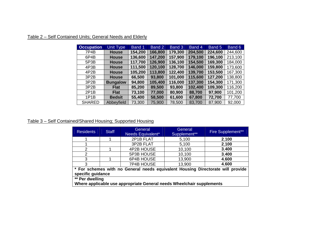| <b>Occupation</b> | <b>Unit Type</b> | Band 1  | Band 2  | Band 3  | Band 4  | Band 5  | Band 6  |
|-------------------|------------------|---------|---------|---------|---------|---------|---------|
| 7P4B              | <b>House</b>     | 154,200 | 166,800 | 179,300 | 204,500 | 224,600 | 244,600 |
| 6P4B              | <b>House</b>     | 136,600 | 147,200 | 157,900 | 179,100 | 196,100 | 213,100 |
| 5P3B              | <b>House</b>     | 117,700 | 126,900 | 136,100 | 154,500 | 169,300 | 184,000 |
| 4P3B              | <b>House</b>     | 111,500 | 120,100 | 128,700 | 146,000 | 159,800 | 173,600 |
| 4P <sub>2</sub> B | <b>House</b>     | 105,200 | 113,800 | 122,400 | 139,700 | 153,500 | 167,300 |
| 3P2B              | <b>House</b>     | 66,500  | 93,800  | 101,000 | 115,600 | 127,200 | 138,800 |
| 3P2B              | <b>Bungalow</b>  | 94,800  | 105,400 | 116,000 | 137,300 | 154,300 | 171,300 |
| 3P2B              | <b>Flat</b>      | 85,200  | 89,500  | 93,800  | 102,400 | 109,300 | 116,200 |
| 2P1B              | <b>Flat</b>      | 73,100  | 77,000  | 80,900  | 88,700  | 97,900  | 101,200 |
| 1P1B              | <b>Bedsit</b>    | 55,400  | 58,500  | 61,600  | 67,800  | 72,700  | 77,700  |
| <b>SHARED</b>     | Abbeyfield       | 73,300  | 75,900  | 78,500  | 83,700  | 87,900  | 92,000  |

# Table 2 – Self Contained Units; General Needs and Elderly

# Table 3 – Self Contained/Shared Housing; Supported Housing

| <b>Residents</b>                                                                                     | <b>Staff</b> | General<br>General<br>Needs Equivalent*<br>Supplement** |        | <b>Fire Supplement**</b> |  |  |
|------------------------------------------------------------------------------------------------------|--------------|---------------------------------------------------------|--------|--------------------------|--|--|
|                                                                                                      |              | 2P1B FLAT                                               | 5,100  | 2,100                    |  |  |
|                                                                                                      |              | 3P2B FLAT                                               | 5,100  | 2,100                    |  |  |
| 2                                                                                                    |              | 4P2B HOUSE                                              | 10,100 | 3,400                    |  |  |
| $\overline{2}$                                                                                       |              | 5P3B HOUSE                                              | 10,100 | 3,400                    |  |  |
| 3                                                                                                    |              | 6P4B HOUSE                                              | 13,900 | 4,600                    |  |  |
| 3                                                                                                    |              | 7P4B HOUSE                                              | 13,900 | 4,600                    |  |  |
| * For schemes with no General needs equivalent Housing Directorate will provide<br>specific guidance |              |                                                         |        |                          |  |  |
| ** Per dwelling<br>Where applicable use appropriate General needs Wheelchair supplements             |              |                                                         |        |                          |  |  |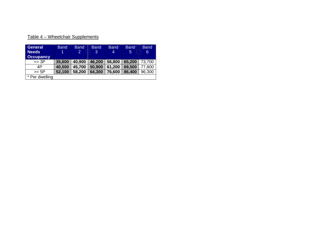|  | Table 4 – Wheelchair Supplements |  |
|--|----------------------------------|--|
|  |                                  |  |

| <b>General</b><br><b>Needs</b><br><b>Occupancy</b> | <b>Band</b><br>1 | <b>Band</b><br>2 | <b>Band</b><br>3 | <b>Band</b><br>4 | <b>Band</b><br>$\sqrt{5}$ | <b>Band</b><br>6 |
|----------------------------------------------------|------------------|------------------|------------------|------------------|---------------------------|------------------|
| $=$ 3P                                             | 35,600           | 40,900           | 46,200           | 56,800           | 65,200                    | 73,700           |
| 4P                                                 | 40,500           | 45,700           | 50,900           | 61,200           | 69,500                    | 77,800           |
| $>=$ 5P                                            | 52,100           | 58,200           | 64,300           | 76,600           | 86,400                    | 96,300           |
| * Per dwelling                                     |                  |                  |                  |                  |                           |                  |